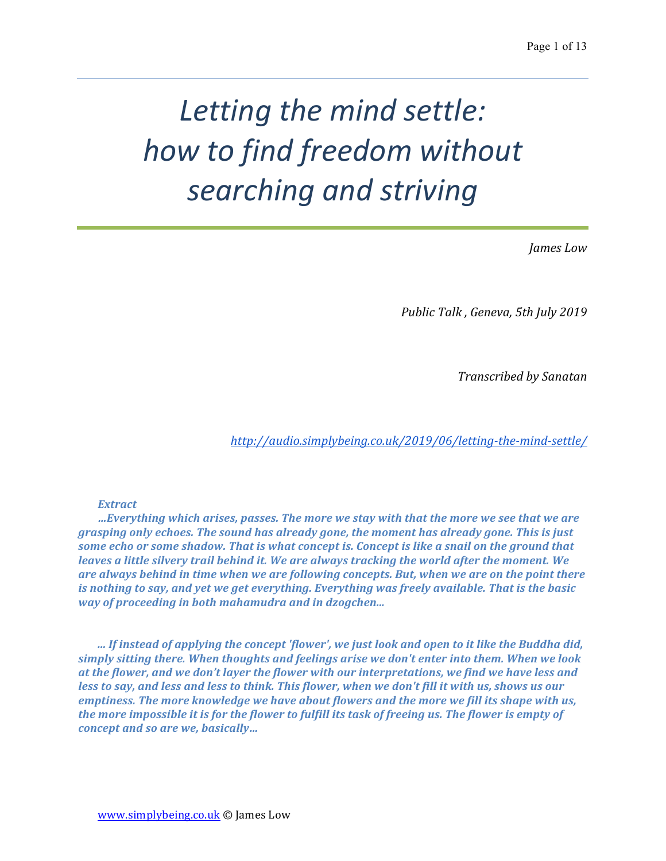# Letting the mind settle: *how to find freedom without searching and striving*

*James Low*

*Public Talk , Geneva, 5th July 2019*

*Transcribed by Sanatan*

*http://audio.simplybeing.co.uk/2019/06/letting-the-mind-settle/*

### *Extract*

**…Everything which arises, passes. The more we stay with that the more we see that we are** grasping only echoes. The sound has already gone, the moment has already gone. This is just some echo or some shadow. That is what concept is. Concept is like a snail on the ground that *leaves a little silvery trail behind it. We are always tracking the world after the moment. We* are always behind in time when we are following concepts. But, when we are on the point there *is* nothing to say, and yet we get everything. Everything was freely available. That is the basic *way* of proceeding in both mahamudra and in dzogchen...

*... If instead of applying the concept 'flower', we just look and open to it like the Buddha did,* simply sitting there. When thoughts and feelings arise we don't enter into them. When we look *at* the flower, and we don't layer the flower with our interpretations, we find we have less and *less to say, and less and less to think. This flower, when we don't fill it with us, shows us our emptiness. The more knowledge we have about flowers and the more we fill its shape with us,* the more impossible it is for the flower to fulfill its task of freeing us. The flower is empty of *concept and so are we, basically...*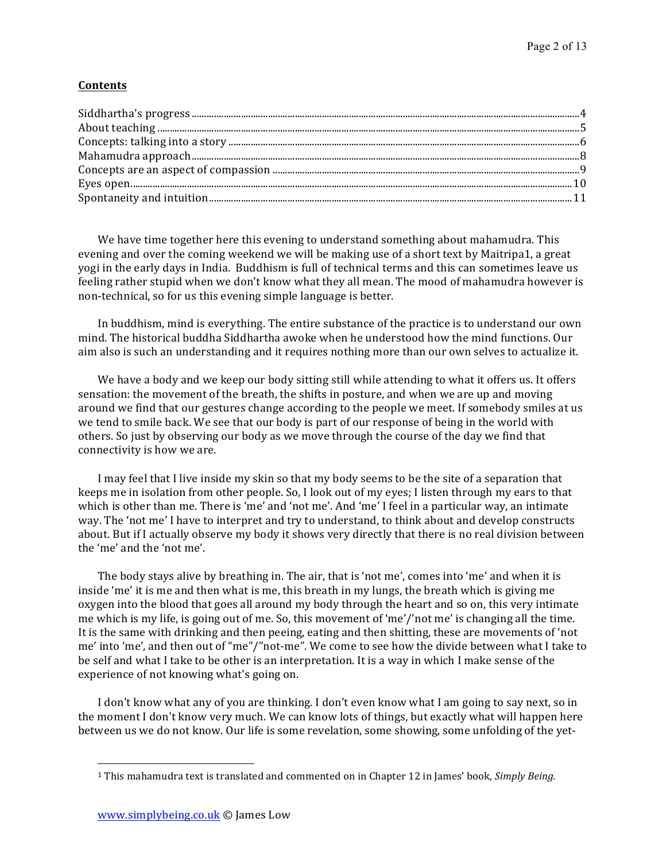## **Contents**

We have time together here this evening to understand something about mahamudra. This evening and over the coming weekend we will be making use of a short text by Maitripa1, a great yogi in the early days in India. Buddhism is full of technical terms and this can sometimes leave us feeling rather stupid when we don't know what they all mean. The mood of mahamudra however is non-technical, so for us this evening simple language is better.

In buddhism, mind is everything. The entire substance of the practice is to understand our own mind. The historical buddha Siddhartha awoke when he understood how the mind functions. Our aim also is such an understanding and it requires nothing more than our own selves to actualize it.

We have a body and we keep our body sitting still while attending to what it offers us. It offers sensation: the movement of the breath, the shifts in posture, and when we are up and moving around we find that our gestures change according to the people we meet. If somebody smiles at us we tend to smile back. We see that our body is part of our response of being in the world with others. So just by observing our body as we move through the course of the day we find that connectivity is how we are.

I may feel that I live inside my skin so that my body seems to be the site of a separation that keeps me in isolation from other people. So, I look out of my eyes; I listen through my ears to that which is other than me. There is 'me' and 'not me'. And 'me' I feel in a particular way, an intimate way. The 'not me' I have to interpret and try to understand, to think about and develop constructs about. But if I actually observe my body it shows very directly that there is no real division between the 'me' and the 'not me'.

The body stays alive by breathing in. The air, that is 'not me', comes into 'me' and when it is inside 'me' it is me and then what is me, this breath in my lungs, the breath which is giving me oxygen into the blood that goes all around my body through the heart and so on, this very intimate me which is my life, is going out of me. So, this movement of 'me'/'not me' is changing all the time. It is the same with drinking and then peeing, eating and then shitting, these are movements of 'not me' into 'me', and then out of "me"/"not-me". We come to see how the divide between what I take to be self and what I take to be other is an interpretation. It is a way in which I make sense of the experience of not knowing what's going on.

I don't know what any of you are thinking. I don't even know what I am going to say next, so in the moment I don't know very much. We can know lots of things, but exactly what will happen here between us we do not know. Our life is some revelation, some showing, some unfolding of the yet-

 

<sup>&</sup>lt;sup>1</sup> This mahamudra text is translated and commented on in Chapter 12 in James' book, *Simply Being.*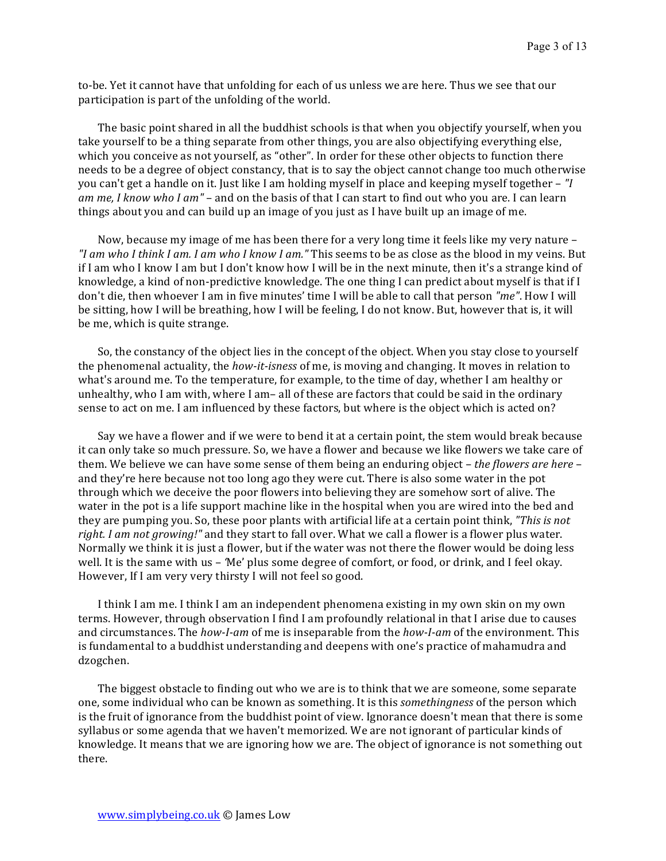to-be. Yet it cannot have that unfolding for each of us unless we are here. Thus we see that our participation is part of the unfolding of the world.

The basic point shared in all the buddhist schools is that when you objectify yourself, when you take yourself to be a thing separate from other things, you are also objectifying everything else, which you conceive as not yourself, as "other". In order for these other objects to function there needs to be a degree of object constancy, that is to say the object cannot change too much otherwise you can't get a handle on it. Just like I am holding myself in place and keeping myself together – "I *am* me, I know who I am" – and on the basis of that I can start to find out who you are. I can learn things about you and can build up an image of you just as I have built up an image of me.

Now, because my image of me has been there for a very long time it feels like my very nature – *"I* am who *I* think *I* am. *I* am who *I* know *I* am." This seems to be as close as the blood in my veins. But if I am who I know I am but I don't know how I will be in the next minute, then it's a strange kind of knowledge, a kind of non-predictive knowledge. The one thing I can predict about myself is that if I don't die, then whoever I am in five minutes' time I will be able to call that person "me". How I will be sitting, how I will be breathing, how I will be feeling, I do not know. But, however that is, it will be me, which is quite strange.

So, the constancy of the object lies in the concept of the object. When you stay close to yourself the phenomenal actuality, the *how-it-isness* of me, is moving and changing. It moves in relation to what's around me. To the temperature, for example, to the time of day, whether I am healthy or unhealthy, who I am with, where I am- all of these are factors that could be said in the ordinary sense to act on me. I am influenced by these factors, but where is the object which is acted on?

Say we have a flower and if we were to bend it at a certain point, the stem would break because it can only take so much pressure. So, we have a flower and because we like flowers we take care of them. We believe we can have some sense of them being an enduring object – *the flowers are here* – and they're here because not too long ago they were cut. There is also some water in the pot through which we deceive the poor flowers into believing they are somehow sort of alive. The water in the pot is a life support machine like in the hospital when you are wired into the bed and they are pumping you. So, these poor plants with artificial life at a certain point think, "This is not *right. I am not growing!"* and they start to fall over. What we call a flower is a flower plus water. Normally we think it is just a flower, but if the water was not there the flower would be doing less well. It is the same with us – 'Me' plus some degree of comfort, or food, or drink, and I feel okay. However, If I am very very thirsty I will not feel so good.

I think I am me. I think I am an independent phenomena existing in my own skin on my own terms. However, through observation I find I am profoundly relational in that I arise due to causes and circumstances. The *how-I-am* of me is inseparable from the *how-I-am* of the environment. This is fundamental to a buddhist understanding and deepens with one's practice of mahamudra and dzogchen. 

The biggest obstacle to finding out who we are is to think that we are someone, some separate one, some individual who can be known as something. It is this *somethingness* of the person which is the fruit of ignorance from the buddhist point of view. Ignorance doesn't mean that there is some syllabus or some agenda that we haven't memorized. We are not ignorant of particular kinds of knowledge. It means that we are ignoring how we are. The object of ignorance is not something out there.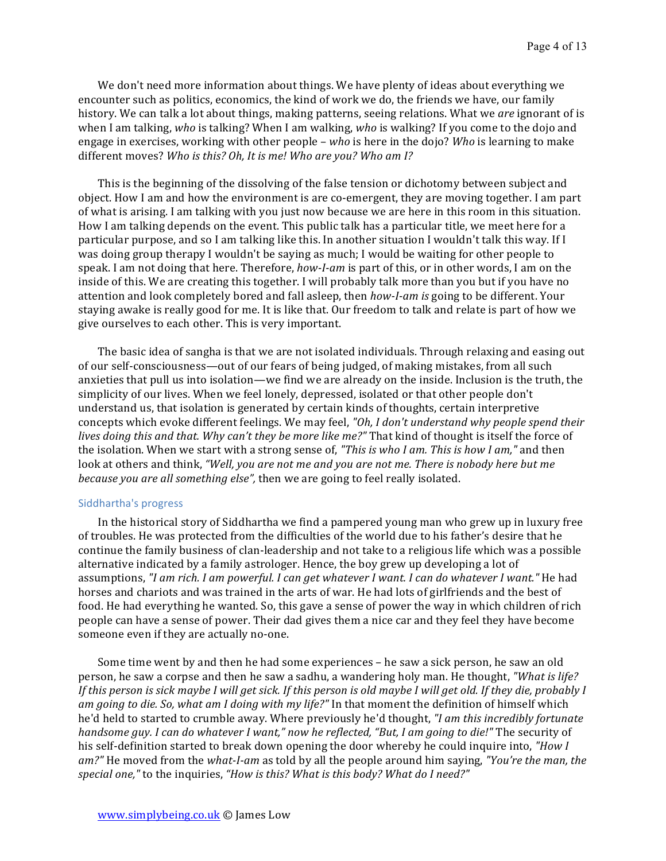We don't need more information about things. We have plenty of ideas about everything we encounter such as politics, economics, the kind of work we do, the friends we have, our family history. We can talk a lot about things, making patterns, seeing relations. What we are ignorant of is when I am talking, *who* is talking? When I am walking, *who* is walking? If you come to the dojo and engage in exercises, working with other people – *who* is here in the dojo? *Who* is learning to make different moves? Who is this? Oh, It is me! Who are you? Who am I?

This is the beginning of the dissolving of the false tension or dichotomy between subject and object. How I am and how the environment is are co-emergent, they are moving together. I am part of what is arising. I am talking with you just now because we are here in this room in this situation. How I am talking depends on the event. This public talk has a particular title, we meet here for a particular purpose, and so I am talking like this. In another situation I wouldn't talk this way. If I was doing group therapy I wouldn't be saying as much; I would be waiting for other people to speak. I am not doing that here. Therefore, *how-I-am* is part of this, or in other words, I am on the inside of this. We are creating this together. I will probably talk more than you but if you have no attention and look completely bored and fall asleep, then *how-I-am* is going to be different. Your staying awake is really good for me. It is like that. Our freedom to talk and relate is part of how we give ourselves to each other. This is very important.

The basic idea of sangha is that we are not isolated individuals. Through relaxing and easing out of our self-consciousness—out of our fears of being judged, of making mistakes, from all such anxieties that pull us into isolation—we find we are already on the inside. Inclusion is the truth, the simplicity of our lives. When we feel lonely, depressed, isolated or that other people don't understand us, that isolation is generated by certain kinds of thoughts, certain interpretive concepts which evoke different feelings. We may feel, "Oh, I don't understand why people spend their *lives doing this and that. Why can't they be more like me?"* That kind of thought is itself the force of the isolation. When we start with a strong sense of, *"This is who I am. This is how I am*," and then look at others and think, "Well, you are not me and you are not me. There is nobody here but me *because you are all something else"*, then we are going to feel really isolated.

#### Siddhartha's progress

In the historical story of Siddhartha we find a pampered young man who grew up in luxury free of troubles. He was protected from the difficulties of the world due to his father's desire that he continue the family business of clan-leadership and not take to a religious life which was a possible alternative indicated by a family astrologer. Hence, the boy grew up developing a lot of assumptions, "I am rich. I am powerful. I can get whatever I want. I can do whatever I want." He had horses and chariots and was trained in the arts of war. He had lots of girlfriends and the best of food. He had everything he wanted. So, this gave a sense of power the way in which children of rich people can have a sense of power. Their dad gives them a nice car and they feel they have become someone even if they are actually no-one.

Some time went by and then he had some experiences – he saw a sick person, he saw an old person, he saw a corpse and then he saw a sadhu, a wandering holy man. He thought, "What is life? *If* this person is sick maybe I will get sick. If this person is old maybe I will get old. If they die, probably I *am going to die.* So, what am I doing with my life?" In that moment the definition of himself which he'd held to started to crumble away. Where previously he'd thought, *"I am this incredibly fortunate handsome guy. I can do whatever I want," now he reflected, "But, I am going to die!"* The security of his self-definition started to break down opening the door whereby he could inquire into, "How I *am?"* He moved from the *what-I-am* as told by all the people around him saying, "*You're the man, the* special one," to the inquiries, "How is this? What is this body? What do I need?"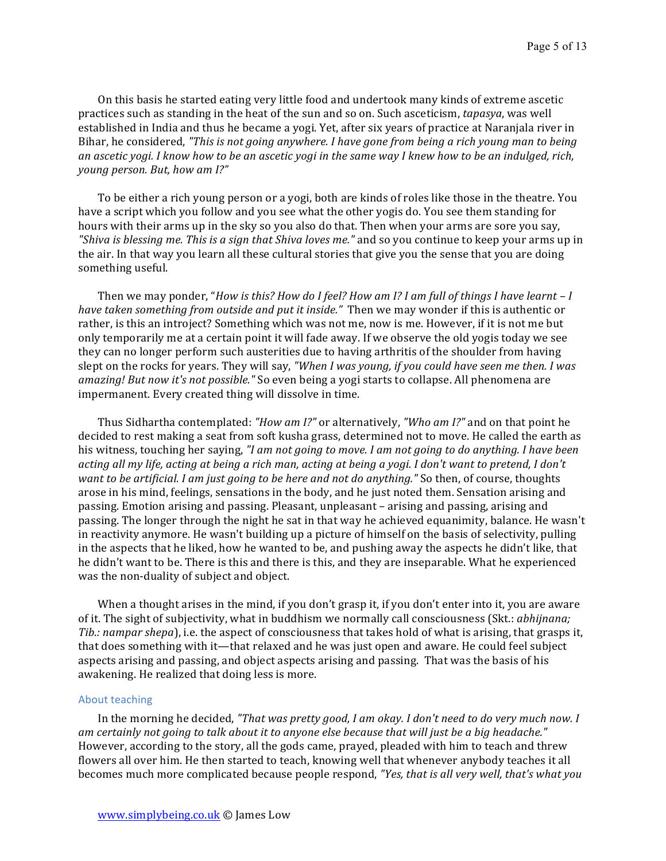On this basis he started eating very little food and undertook many kinds of extreme ascetic practices such as standing in the heat of the sun and so on. Such asceticism, *tapasya*, was well established in India and thus he became a yogi. Yet, after six years of practice at Naranjala river in Bihar, he considered, "This is not going anywhere. *I* have gone from being a rich young man to being an ascetic yogi. I know how to be an ascetic yogi in the same way I knew how to be an indulged, rich, *young person.* But, how am I?"

To be either a rich young person or a yogi, both are kinds of roles like those in the theatre. You have a script which you follow and you see what the other yogis do. You see them standing for hours with their arms up in the sky so you also do that. Then when your arms are sore you say, *"Shiva is blessing me. This is a sign that Shiva loves me."* and so you continue to keep your arms up in the air. In that way you learn all these cultural stories that give you the sense that you are doing something useful.

Then we may ponder, "*How is this? How do I feel? How am I? I am full of things I have learnt - I have taken something from outside and put it inside."* Then we may wonder if this is authentic or rather, is this an introject? Something which was not me, now is me. However, if it is not me but only temporarily me at a certain point it will fade away. If we observe the old yogis today we see they can no longer perform such austerities due to having arthritis of the shoulder from having slept on the rocks for years. They will say, "When I was young, if you could have seen me then. I was *amazing! But now it's not possible."* So even being a yogi starts to collapse. All phenomena are impermanent. Every created thing will dissolve in time.

Thus Sidhartha contemplated: "How am I?" or alternatively, "Who am I?" and on that point he decided to rest making a seat from soft kusha grass, determined not to move. He called the earth as his witness, touching her saying, *"I am not going to move. I am not going to do anything. I have been acting all my life, acting at being a rich man, acting at being a yogi. I don't want to pretend, I don't want to be artificial. I am just going to be here and not do anything."* So then, of course, thoughts arose in his mind, feelings, sensations in the body, and he just noted them. Sensation arising and passing. Emotion arising and passing. Pleasant, unpleasant – arising and passing, arising and passing. The longer through the night he sat in that way he achieved equanimity, balance. He wasn't in reactivity anymore. He wasn't building up a picture of himself on the basis of selectivity, pulling in the aspects that he liked, how he wanted to be, and pushing away the aspects he didn't like, that he didn't want to be. There is this and there is this, and they are inseparable. What he experienced was the non-duality of subject and object.

When a thought arises in the mind, if you don't grasp it, if you don't enter into it, you are aware of it. The sight of subjectivity, what in buddhism we normally call consciousness (Skt.: *abhijnana; Tib.:* nampar shepa), i.e. the aspect of consciousness that takes hold of what is arising, that grasps it, that does something with it—that relaxed and he was just open and aware. He could feel subject aspects arising and passing, and object aspects arising and passing. That was the basis of his awakening. He realized that doing less is more.

#### About teaching

In the morning he decided, "That was pretty good, I am okay. I don't need to do very much now. I *am certainly not going to talk about it to anyone else because that will just be a big headache."* However, according to the story, all the gods came, prayed, pleaded with him to teach and threw flowers all over him. He then started to teach, knowing well that whenever anybody teaches it all becomes much more complicated because people respond, *"Yes, that is all very well, that's what you*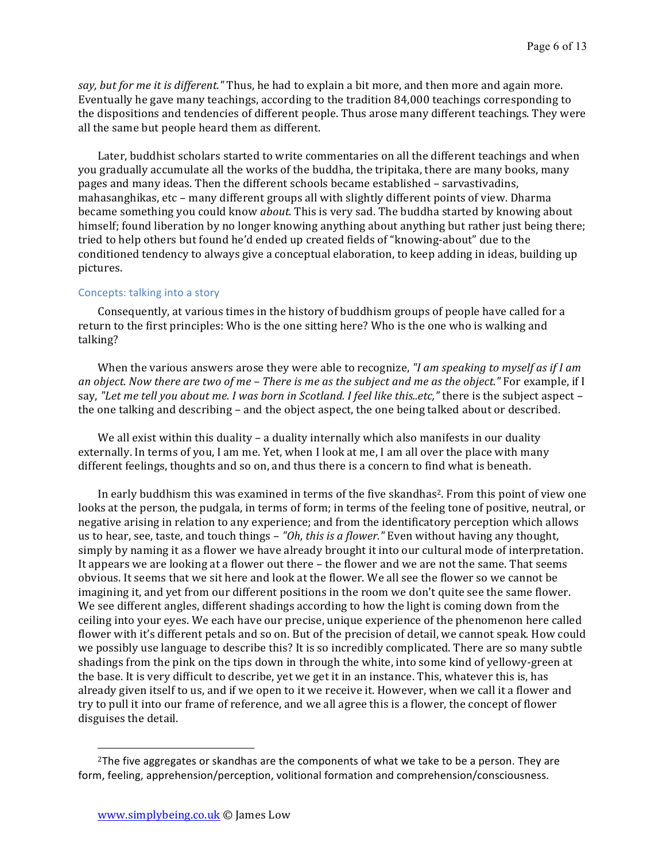*say, but for me it is different."* Thus, he had to explain a bit more, and then more and again more. Eventually he gave many teachings, according to the tradition 84,000 teachings corresponding to the dispositions and tendencies of different people. Thus arose many different teachings. They were all the same but people heard them as different.

Later, buddhist scholars started to write commentaries on all the different teachings and when you gradually accumulate all the works of the buddha, the tripitaka, there are many books, many pages and many ideas. Then the different schools became established – sarvastivadins, mahasanghikas, etc - many different groups all with slightly different points of view. Dharma became something you could know *about*. This is very sad. The buddha started by knowing about himself; found liberation by no longer knowing anything about anything but rather just being there; tried to help others but found he'd ended up created fields of "knowing-about" due to the conditioned tendency to always give a conceptual elaboration, to keep adding in ideas, building up pictures. 

#### Concepts: talking into a story

Consequently, at various times in the history of buddhism groups of people have called for a return to the first principles: Who is the one sitting here? Who is the one who is walking and talking? 

When the various answers arose they were able to recognize, *"I am speaking to myself as if I am an* object. Now there are two of me – There is me as the subject and me as the object." For example, if I say, "Let me tell you about me. I was born in Scotland. I feel like this..etc," there is the subject aspect – the one talking and describing – and the object aspect, the one being talked about or described.

We all exist within this duality – a duality internally which also manifests in our duality externally. In terms of you, I am me. Yet, when I look at me, I am all over the place with many different feelings, thoughts and so on, and thus there is a concern to find what is beneath.

In early buddhism this was examined in terms of the five skandhas<sup>2</sup>. From this point of view one looks at the person, the pudgala, in terms of form; in terms of the feeling tone of positive, neutral, or negative arising in relation to any experience; and from the identificatory perception which allows us to hear, see, taste, and touch things – "Oh, this is a flower." Even without having any thought, simply by naming it as a flower we have already brought it into our cultural mode of interpretation. It appears we are looking at a flower out there – the flower and we are not the same. That seems obvious. It seems that we sit here and look at the flower. We all see the flower so we cannot be imagining it, and yet from our different positions in the room we don't quite see the same flower. We see different angles, different shadings according to how the light is coming down from the ceiling into your eyes. We each have our precise, unique experience of the phenomenon here called flower with it's different petals and so on. But of the precision of detail, we cannot speak. How could we possibly use language to describe this? It is so incredibly complicated. There are so many subtle shadings from the pink on the tips down in through the white, into some kind of yellowy-green at the base. It is very difficult to describe, yet we get it in an instance. This, whatever this is, has already given itself to us, and if we open to it we receive it. However, when we call it a flower and try to pull it into our frame of reference, and we all agree this is a flower, the concept of flower disguises the detail.

 

 $2$ The five aggregates or skandhas are the components of what we take to be a person. They are form, feeling, apprehension/perception, volitional formation and comprehension/consciousness.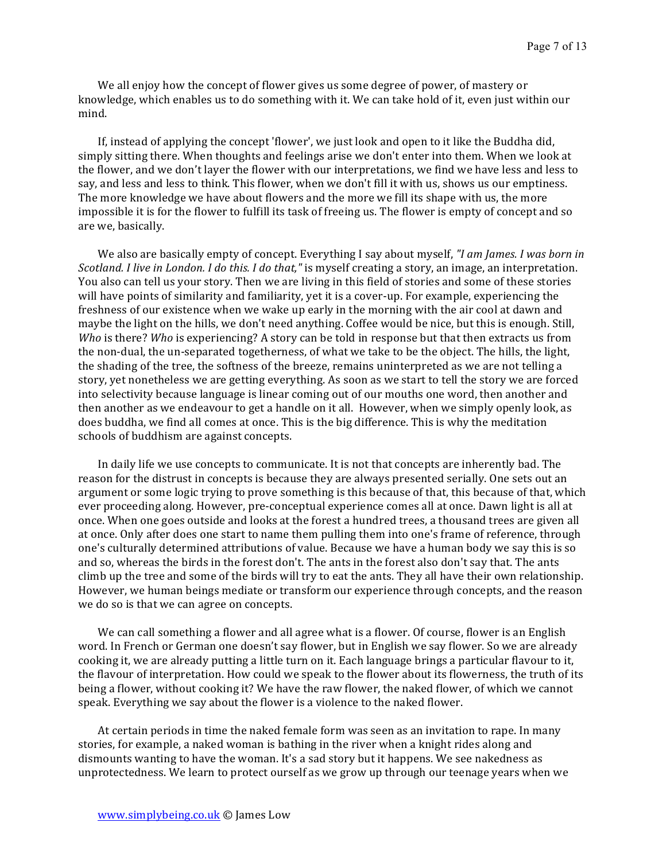We all enjoy how the concept of flower gives us some degree of power, of mastery or knowledge, which enables us to do something with it. We can take hold of it, even just within our mind. 

If, instead of applying the concept 'flower', we just look and open to it like the Buddha did, simply sitting there. When thoughts and feelings arise we don't enter into them. When we look at the flower, and we don't layer the flower with our interpretations, we find we have less and less to say, and less and less to think. This flower, when we don't fill it with us, shows us our emptiness. The more knowledge we have about flowers and the more we fill its shape with us, the more impossible it is for the flower to fulfill its task of freeing us. The flower is empty of concept and so are we, basically.

We also are basically empty of concept. Everything I say about myself, "I am James. I was born in *Scotland. I live in London. I do this. I do that,"* is myself creating a story, an image, an interpretation. You also can tell us your story. Then we are living in this field of stories and some of these stories will have points of similarity and familiarity, yet it is a cover-up. For example, experiencing the freshness of our existence when we wake up early in the morning with the air cool at dawn and maybe the light on the hills, we don't need anything. Coffee would be nice, but this is enough. Still, *Who* is there? *Who* is experiencing? A story can be told in response but that then extracts us from the non-dual, the un-separated togetherness, of what we take to be the object. The hills, the light, the shading of the tree, the softness of the breeze, remains uninterpreted as we are not telling a story, yet nonetheless we are getting everything. As soon as we start to tell the story we are forced into selectivity because language is linear coming out of our mouths one word, then another and then another as we endeavour to get a handle on it all. However, when we simply openly look, as does buddha, we find all comes at once. This is the big difference. This is why the meditation schools of buddhism are against concepts.

In daily life we use concepts to communicate. It is not that concepts are inherently bad. The reason for the distrust in concepts is because they are always presented serially. One sets out an argument or some logic trying to prove something is this because of that, this because of that, which ever proceeding along. However, pre-conceptual experience comes all at once. Dawn light is all at once. When one goes outside and looks at the forest a hundred trees, a thousand trees are given all at once. Only after does one start to name them pulling them into one's frame of reference, through one's culturally determined attributions of value. Because we have a human body we say this is so and so, whereas the birds in the forest don't. The ants in the forest also don't say that. The ants climb up the tree and some of the birds will try to eat the ants. They all have their own relationship. However, we human beings mediate or transform our experience through concepts, and the reason we do so is that we can agree on concepts.

We can call something a flower and all agree what is a flower. Of course, flower is an English word. In French or German one doesn't say flower, but in English we say flower. So we are already cooking it, we are already putting a little turn on it. Each language brings a particular flavour to it, the flavour of interpretation. How could we speak to the flower about its flowerness, the truth of its being a flower, without cooking it? We have the raw flower, the naked flower, of which we cannot speak. Everything we say about the flower is a violence to the naked flower.

At certain periods in time the naked female form was seen as an invitation to rape. In many stories, for example, a naked woman is bathing in the river when a knight rides along and dismounts wanting to have the woman. It's a sad story but it happens. We see nakedness as unprotectedness. We learn to protect ourself as we grow up through our teenage years when we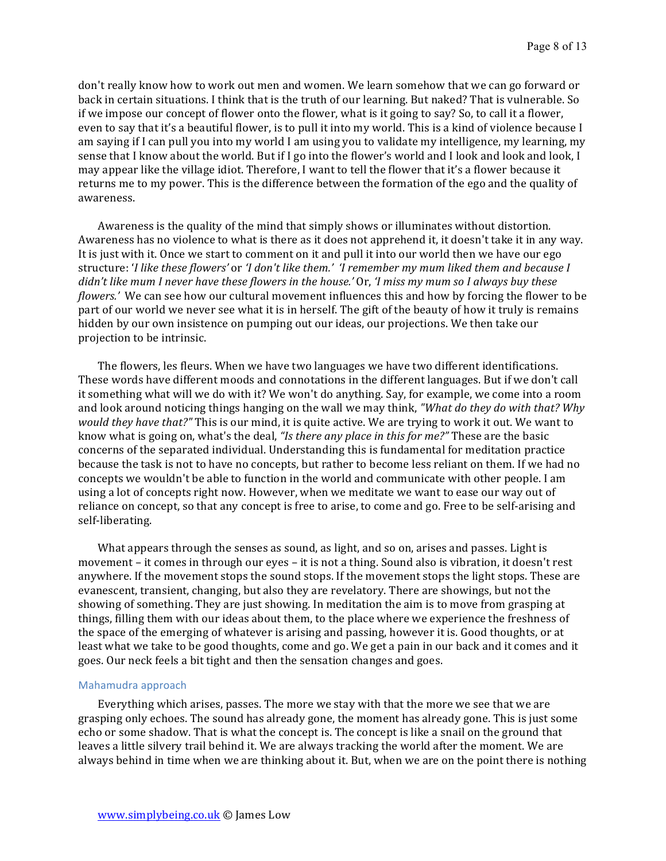don't really know how to work out men and women. We learn somehow that we can go forward or back in certain situations. I think that is the truth of our learning. But naked? That is vulnerable. So if we impose our concept of flower onto the flower, what is it going to say? So, to call it a flower, even to say that it's a beautiful flower, is to pull it into my world. This is a kind of violence because I am saying if I can pull you into my world I am using you to validate my intelligence, my learning, my sense that I know about the world. But if I go into the flower's world and I look and look and look, I may appear like the village idiot. Therefore, I want to tell the flower that it's a flower because it returns me to my power. This is the difference between the formation of the ego and the quality of awareness. 

Awareness is the quality of the mind that simply shows or illuminates without distortion. Awareness has no violence to what is there as it does not apprehend it, it doesn't take it in any way. It is just with it. Once we start to comment on it and pull it into our world then we have our ego structure: '*I* like these flowers' or '*I* don't like them.' 'I remember my mum liked them and because I *didn't like mum I never have these flowers in the house.'* Or, *'I miss my mum so I always buy these flowers.'* We can see how our cultural movement influences this and how by forcing the flower to be part of our world we never see what it is in herself. The gift of the beauty of how it truly is remains hidden by our own insistence on pumping out our ideas, our projections. We then take our projection to be intrinsic.

The flowers, les fleurs. When we have two languages we have two different identifications. These words have different moods and connotations in the different languages. But if we don't call it something what will we do with it? We won't do anything. Say, for example, we come into a room and look around noticing things hanging on the wall we may think, *"What do they do with that? Why would they have that?"* This is our mind, it is quite active. We are trying to work it out. We want to know what is going on, what's the deal, "Is there any place in this for me?" These are the basic concerns of the separated individual. Understanding this is fundamental for meditation practice because the task is not to have no concepts, but rather to become less reliant on them. If we had no concepts we wouldn't be able to function in the world and communicate with other people. I am using a lot of concepts right now. However, when we meditate we want to ease our way out of reliance on concept, so that any concept is free to arise, to come and go. Free to be self-arising and self-liberating.

What appears through the senses as sound, as light, and so on, arises and passes. Light is movement – it comes in through our eyes – it is not a thing. Sound also is vibration, it doesn't rest anywhere. If the movement stops the sound stops. If the movement stops the light stops. These are evanescent, transient, changing, but also they are revelatory. There are showings, but not the showing of something. They are just showing. In meditation the aim is to move from grasping at things, filling them with our ideas about them, to the place where we experience the freshness of the space of the emerging of whatever is arising and passing, however it is. Good thoughts, or at least what we take to be good thoughts, come and go. We get a pain in our back and it comes and it goes. Our neck feels a bit tight and then the sensation changes and goes.

#### Mahamudra approach

Everything which arises, passes. The more we stay with that the more we see that we are grasping only echoes. The sound has already gone, the moment has already gone. This is just some echo or some shadow. That is what the concept is. The concept is like a snail on the ground that leaves a little silvery trail behind it. We are always tracking the world after the moment. We are always behind in time when we are thinking about it. But, when we are on the point there is nothing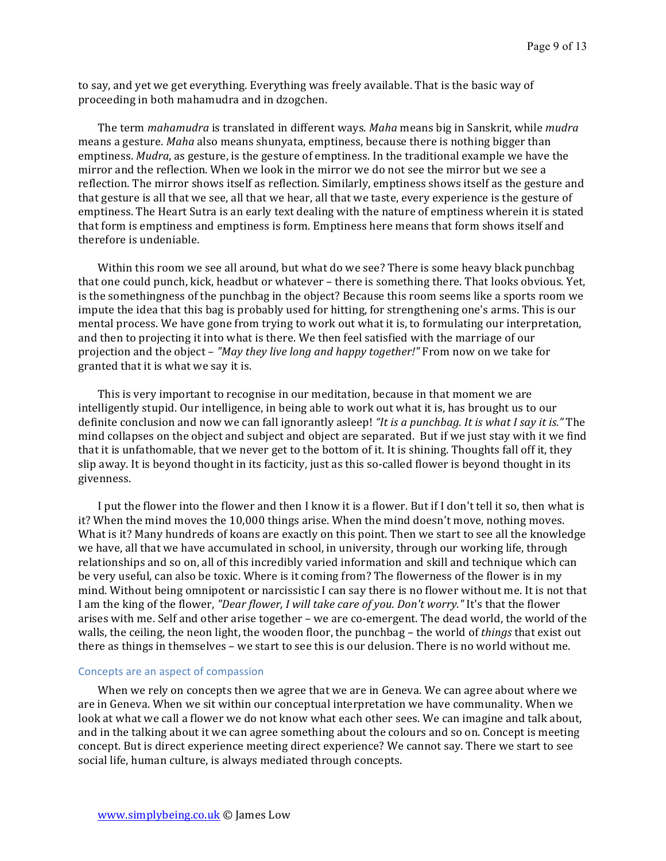to say, and yet we get everything. Everything was freely available. That is the basic way of proceeding in both mahamudra and in dzogchen.

The term *mahamudra* is translated in different ways. *Maha* means big in Sanskrit, while *mudra* means a gesture. *Maha* also means shunyata, emptiness, because there is nothing bigger than emptiness. *Mudra*, as gesture, is the gesture of emptiness. In the traditional example we have the mirror and the reflection. When we look in the mirror we do not see the mirror but we see a reflection. The mirror shows itself as reflection. Similarly, emptiness shows itself as the gesture and that gesture is all that we see, all that we hear, all that we taste, every experience is the gesture of emptiness. The Heart Sutra is an early text dealing with the nature of emptiness wherein it is stated that form is emptiness and emptiness is form. Emptiness here means that form shows itself and therefore is undeniable.

Within this room we see all around, but what do we see? There is some heavy black punchbag that one could punch, kick, headbut or whatever - there is something there. That looks obvious. Yet, is the somethingness of the punchbag in the object? Because this room seems like a sports room we impute the idea that this bag is probably used for hitting, for strengthening one's arms. This is our mental process. We have gone from trying to work out what it is, to formulating our interpretation, and then to projecting it into what is there. We then feel satisfied with the marriage of our projection and the object – "May they live long and happy together!" From now on we take for granted that it is what we say it is.

This is very important to recognise in our meditation, because in that moment we are intelligently stupid. Our intelligence, in being able to work out what it is, has brought us to our definite conclusion and now we can fall ignorantly asleep! *"It is a punchbag. It is what I say it is."* The mind collapses on the object and subject and object are separated. But if we just stay with it we find that it is unfathomable, that we never get to the bottom of it. It is shining. Thoughts fall off it, they slip away. It is beyond thought in its facticity, just as this so-called flower is beyond thought in its givenness. 

I put the flower into the flower and then I know it is a flower. But if I don't tell it so, then what is it? When the mind moves the 10,000 things arise. When the mind doesn't move, nothing moves. What is it? Many hundreds of koans are exactly on this point. Then we start to see all the knowledge we have, all that we have accumulated in school, in university, through our working life, through relationships and so on, all of this incredibly varied information and skill and technique which can be very useful, can also be toxic. Where is it coming from? The flowerness of the flower is in my mind. Without being omnipotent or narcissistic I can say there is no flower without me. It is not that I am the king of the flower, "Dear flower, I will take care of you. Don't worry." It's that the flower arises with me. Self and other arise together – we are co-emergent. The dead world, the world of the walls, the ceiling, the neon light, the wooden floor, the punchbag – the world of *things* that exist out there as things in themselves – we start to see this is our delusion. There is no world without me.

#### Concepts are an aspect of compassion

When we rely on concepts then we agree that we are in Geneva. We can agree about where we are in Geneva. When we sit within our conceptual interpretation we have communality. When we look at what we call a flower we do not know what each other sees. We can imagine and talk about, and in the talking about it we can agree something about the colours and so on. Concept is meeting concept. But is direct experience meeting direct experience? We cannot say. There we start to see social life, human culture, is always mediated through concepts.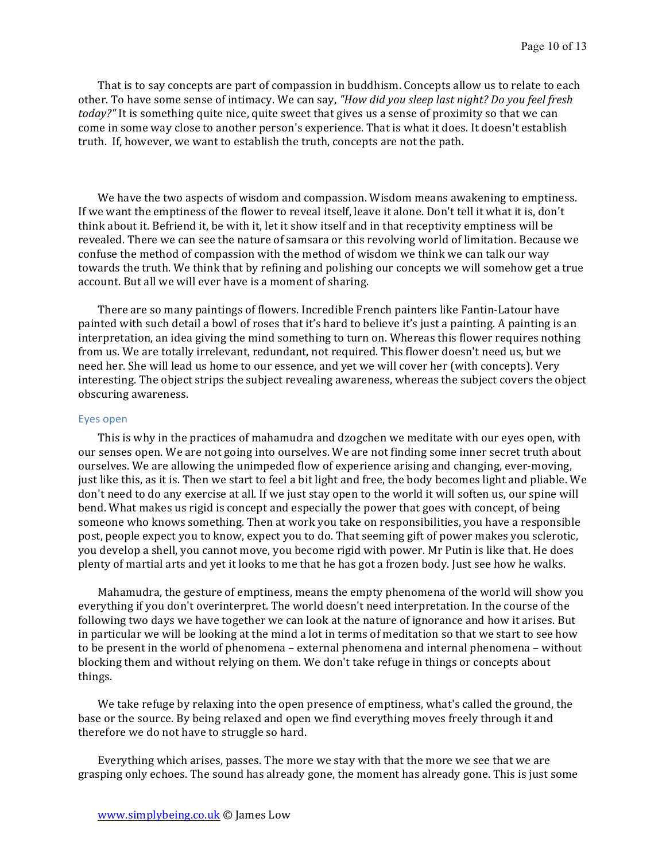That is to say concepts are part of compassion in buddhism. Concepts allow us to relate to each other. To have some sense of intimacy. We can say, "*How did you sleep last night? Do you feel fresh today?"* It is something quite nice, quite sweet that gives us a sense of proximity so that we can come in some way close to another person's experience. That is what it does. It doesn't establish truth. If, however, we want to establish the truth, concepts are not the path.

We have the two aspects of wisdom and compassion. Wisdom means awakening to emptiness. If we want the emptiness of the flower to reveal itself, leave it alone. Don't tell it what it is, don't think about it. Befriend it, be with it, let it show itself and in that receptivity emptiness will be revealed. There we can see the nature of samsara or this revolving world of limitation. Because we confuse the method of compassion with the method of wisdom we think we can talk our way towards the truth. We think that by refining and polishing our concepts we will somehow get a true account. But all we will ever have is a moment of sharing.

There are so many paintings of flowers. Incredible French painters like Fantin-Latour have painted with such detail a bowl of roses that it's hard to believe it's just a painting. A painting is an interpretation, an idea giving the mind something to turn on. Whereas this flower requires nothing from us. We are totally irrelevant, redundant, not required. This flower doesn't need us, but we need her. She will lead us home to our essence, and yet we will cover her (with concepts). Very interesting. The object strips the subject revealing awareness, whereas the subject covers the object obscuring awareness.

#### Eyes open

This is why in the practices of mahamudra and dzogchen we meditate with our eyes open, with our senses open. We are not going into ourselves. We are not finding some inner secret truth about ourselves. We are allowing the unimpeded flow of experience arising and changing, ever-moving, just like this, as it is. Then we start to feel a bit light and free, the body becomes light and pliable. We don't need to do any exercise at all. If we just stay open to the world it will soften us, our spine will bend. What makes us rigid is concept and especially the power that goes with concept, of being someone who knows something. Then at work you take on responsibilities, you have a responsible post, people expect you to know, expect you to do. That seeming gift of power makes you sclerotic, you develop a shell, you cannot move, you become rigid with power. Mr Putin is like that. He does plenty of martial arts and yet it looks to me that he has got a frozen body. Just see how he walks.

Mahamudra, the gesture of emptiness, means the empty phenomena of the world will show you everything if you don't overinterpret. The world doesn't need interpretation. In the course of the following two days we have together we can look at the nature of ignorance and how it arises. But in particular we will be looking at the mind a lot in terms of meditation so that we start to see how to be present in the world of phenomena  $-$  external phenomena and internal phenomena  $-$  without blocking them and without relying on them. We don't take refuge in things or concepts about things. 

We take refuge by relaxing into the open presence of emptiness, what's called the ground, the base or the source. By being relaxed and open we find everything moves freely through it and therefore we do not have to struggle so hard.

Everything which arises, passes. The more we stay with that the more we see that we are grasping only echoes. The sound has already gone, the moment has already gone. This is just some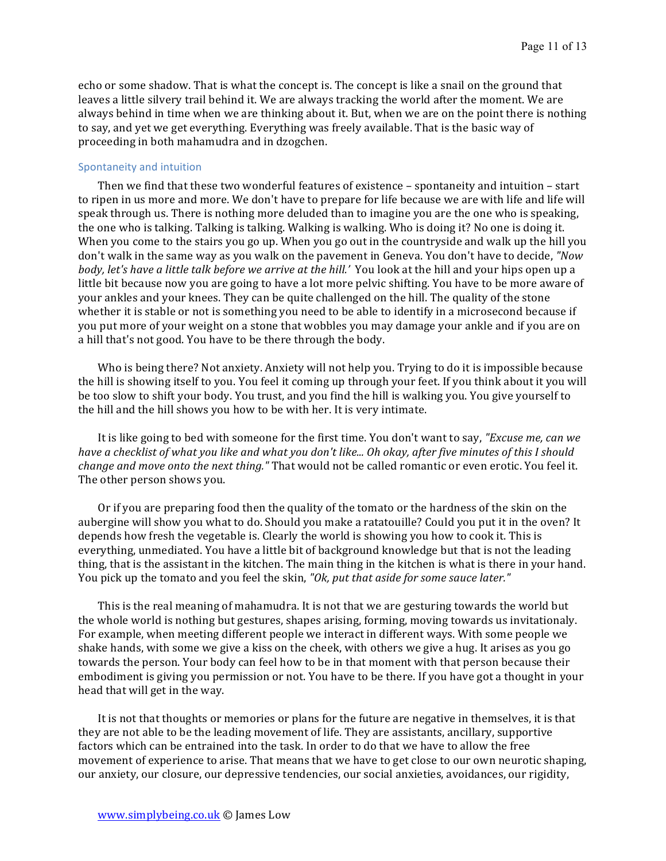echo or some shadow. That is what the concept is. The concept is like a snail on the ground that leaves a little silvery trail behind it. We are always tracking the world after the moment. We are always behind in time when we are thinking about it. But, when we are on the point there is nothing to say, and yet we get everything. Everything was freely available. That is the basic way of proceeding in both mahamudra and in dzogchen.

#### Spontaneity and intuition

Then we find that these two wonderful features of existence - spontaneity and intuition - start to ripen in us more and more. We don't have to prepare for life because we are with life and life will speak through us. There is nothing more deluded than to imagine you are the one who is speaking, the one who is talking. Talking is talking. Walking is walking. Who is doing it? No one is doing it. When you come to the stairs you go up. When you go out in the countryside and walk up the hill you don't walk in the same way as you walk on the pavement in Geneva. You don't have to decide, "Now *body, let's have a little talk before we arrive at the hill.'* You look at the hill and your hips open up a little bit because now you are going to have a lot more pelvic shifting. You have to be more aware of your ankles and your knees. They can be quite challenged on the hill. The quality of the stone whether it is stable or not is something you need to be able to identify in a microsecond because if you put more of your weight on a stone that wobbles you may damage your ankle and if you are on a hill that's not good. You have to be there through the body.

Who is being there? Not anxiety. Anxiety will not help you. Trying to do it is impossible because the hill is showing itself to you. You feel it coming up through your feet. If you think about it you will be too slow to shift your body. You trust, and you find the hill is walking you. You give yourself to the hill and the hill shows you how to be with her. It is very intimate.

It is like going to bed with someone for the first time. You don't want to say, *"Excuse me, can we have a checklist of what you like and what you don't like... Oh okay, after five minutes of this I should change and move onto the next thing."* That would not be called romantic or even erotic. You feel it. The other person shows you.

Or if you are preparing food then the quality of the tomato or the hardness of the skin on the aubergine will show you what to do. Should you make a ratatouille? Could you put it in the oven? It depends how fresh the vegetable is. Clearly the world is showing you how to cook it. This is everything, unmediated. You have a little bit of background knowledge but that is not the leading thing, that is the assistant in the kitchen. The main thing in the kitchen is what is there in your hand. You pick up the tomato and you feel the skin, "Ok, put that aside for some sauce later."

This is the real meaning of mahamudra. It is not that we are gesturing towards the world but the whole world is nothing but gestures, shapes arising, forming, moving towards us invitationaly. For example, when meeting different people we interact in different ways. With some people we shake hands, with some we give a kiss on the cheek, with others we give a hug. It arises as you go towards the person. Your body can feel how to be in that moment with that person because their embodiment is giving you permission or not. You have to be there. If you have got a thought in your head that will get in the way.

It is not that thoughts or memories or plans for the future are negative in themselves, it is that they are not able to be the leading movement of life. They are assistants, ancillary, supportive factors which can be entrained into the task. In order to do that we have to allow the free movement of experience to arise. That means that we have to get close to our own neurotic shaping, our anxiety, our closure, our depressive tendencies, our social anxieties, avoidances, our rigidity,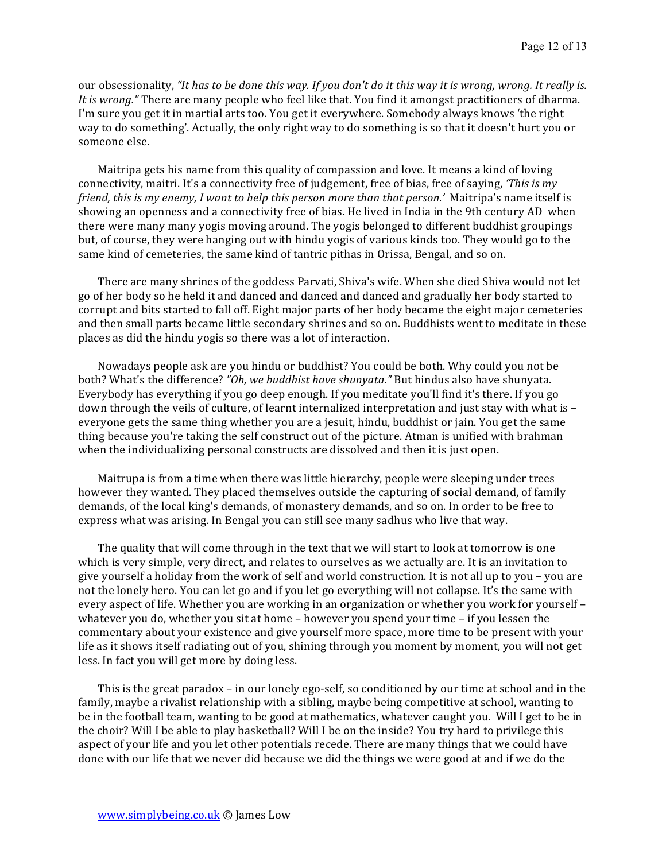our obsessionality, "It has to be done this way. If you don't do it this way it is wrong, wrong. It really is. *It is wrong.*" There are many people who feel like that. You find it amongst practitioners of dharma. I'm sure you get it in martial arts too. You get it everywhere. Somebody always knows 'the right way to do something'. Actually, the only right way to do something is so that it doesn't hurt you or someone else.

Maitripa gets his name from this quality of compassion and love. It means a kind of loving connectivity, maitri. It's a connectivity free of judgement, free of bias, free of saying, *'This is my friend, this is my enemy, I want to help this person more than that person.'* Maitripa's name itself is showing an openness and a connectivity free of bias. He lived in India in the 9th century AD when there were many many yogis moving around. The yogis belonged to different buddhist groupings but, of course, they were hanging out with hindu yogis of various kinds too. They would go to the same kind of cemeteries, the same kind of tantric pithas in Orissa, Bengal, and so on.

There are many shrines of the goddess Parvati, Shiva's wife. When she died Shiva would not let go of her body so he held it and danced and danced and danced and gradually her body started to corrupt and bits started to fall off. Eight major parts of her body became the eight major cemeteries and then small parts became little secondary shrines and so on. Buddhists went to meditate in these places as did the hindu yogis so there was a lot of interaction.

Nowadays people ask are you hindu or buddhist? You could be both. Why could you not be both? What's the difference? "Oh, we buddhist have shunyata." But hindus also have shunyata. Everybody has everything if you go deep enough. If you meditate you'll find it's there. If you go down through the veils of culture, of learnt internalized interpretation and just stay with what is  $$ everyone gets the same thing whether you are a jesuit, hindu, buddhist or jain. You get the same thing because you're taking the self construct out of the picture. Atman is unified with brahman when the individualizing personal constructs are dissolved and then it is just open.

Maitrupa is from a time when there was little hierarchy, people were sleeping under trees however they wanted. They placed themselves outside the capturing of social demand, of family demands, of the local king's demands, of monastery demands, and so on. In order to be free to express what was arising. In Bengal you can still see many sadhus who live that way.

The quality that will come through in the text that we will start to look at tomorrow is one which is very simple, very direct, and relates to ourselves as we actually are. It is an invitation to give yourself a holiday from the work of self and world construction. It is not all up to you – you are not the lonely hero. You can let go and if you let go everything will not collapse. It's the same with every aspect of life. Whether you are working in an organization or whether you work for yourself whatever you do, whether you sit at home - however you spend your time - if you lessen the commentary about your existence and give yourself more space, more time to be present with your life as it shows itself radiating out of you, shining through you moment by moment, you will not get less. In fact you will get more by doing less.

This is the great paradox – in our lonely ego-self, so conditioned by our time at school and in the family, maybe a rivalist relationship with a sibling, maybe being competitive at school, wanting to be in the football team, wanting to be good at mathematics, whatever caught you. Will I get to be in the choir? Will I be able to play basketball? Will I be on the inside? You try hard to privilege this aspect of your life and you let other potentials recede. There are many things that we could have done with our life that we never did because we did the things we were good at and if we do the